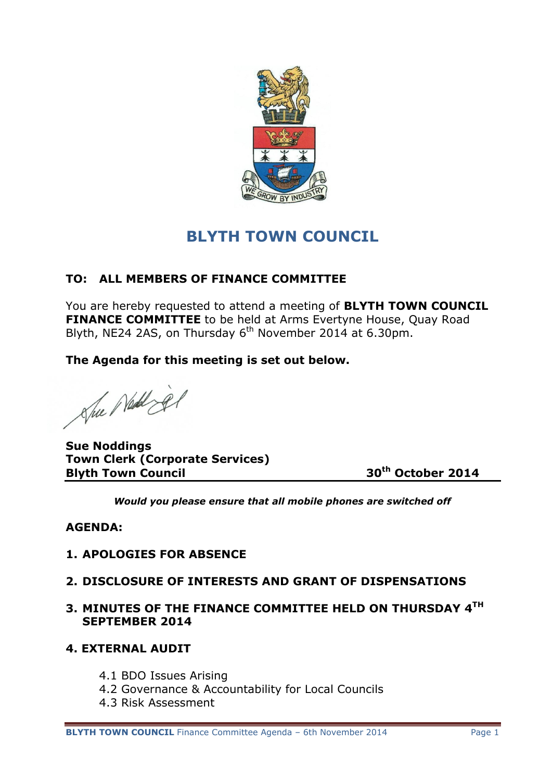

# **BLYTH TOWN COUNCIL**

# **TO: ALL MEMBERS OF FINANCE COMMITTEE**

You are hereby requested to attend a meeting of **BLYTH TOWN COUNCIL FINANCE COMMITTEE** to be held at Arms Evertyne House, Quay Road Blyth, NE24 2AS, on Thursday 6<sup>th</sup> November 2014 at 6.30pm.

**The Agenda for this meeting is set out below.**

She Ned je

**Sue Noddings Town Clerk (Corporate Services) Blyth Town Council 30th October 2014**

*Would you please ensure that all mobile phones are switched off*

## **AGENDA:**

- **1. APOLOGIES FOR ABSENCE**
- **2. DISCLOSURE OF INTERESTS AND GRANT OF DISPENSATIONS**
- **3. MINUTES OF THE FINANCE COMMITTEE HELD ON THURSDAY 4TH SEPTEMBER 2014**
- **4. EXTERNAL AUDIT**
	- 4.1 BDO Issues Arising
	- 4.2 Governance & Accountability for Local Councils
	- 4.3 Risk Assessment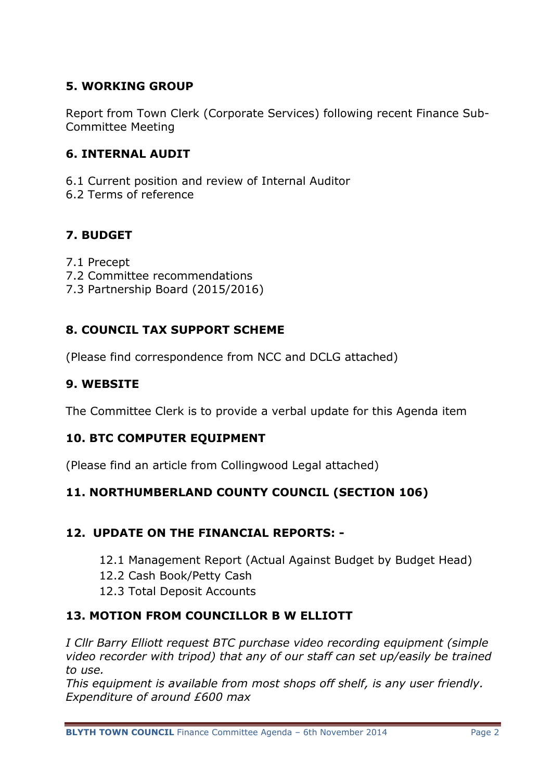# **5. WORKING GROUP**

Report from Town Clerk (Corporate Services) following recent Finance Sub-Committee Meeting

#### **6. INTERNAL AUDIT**

6.1 Current position and review of Internal Auditor 6.2 Terms of reference

## **7. BUDGET**

- 7.1 Precept
- 7.2 Committee recommendations
- 7.3 Partnership Board (2015/2016)

## **8. COUNCIL TAX SUPPORT SCHEME**

(Please find correspondence from NCC and DCLG attached)

## **9. WEBSITE**

The Committee Clerk is to provide a verbal update for this Agenda item

#### **10. BTC COMPUTER EQUIPMENT**

(Please find an article from Collingwood Legal attached)

## **11. NORTHUMBERLAND COUNTY COUNCIL (SECTION 106)**

#### **12. UPDATE ON THE FINANCIAL REPORTS: -**

- 12.1 Management Report (Actual Against Budget by Budget Head)
- 12.2 Cash Book/Petty Cash
- 12.3 Total Deposit Accounts

## **13. MOTION FROM COUNCILLOR B W ELLIOTT**

*I Cllr Barry Elliott request BTC purchase video recording equipment (simple video recorder with tripod) that any of our staff can set up/easily be trained to use.*

*This equipment is available from most shops off shelf, is any user friendly. Expenditure of around £600 max*